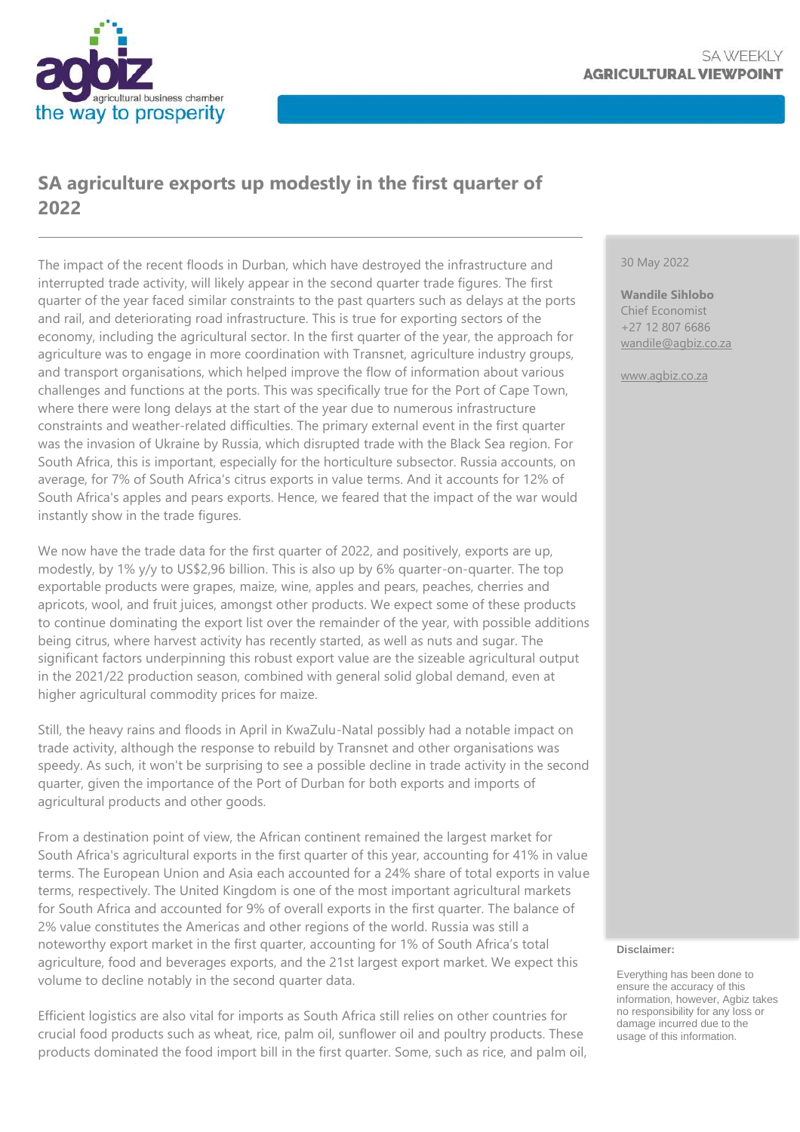

# **SA agriculture exports up modestly in the first quarter of 2022**

The impact of the recent floods in Durban, which have destroyed the infrastructure and interrupted trade activity, will likely appear in the second quarter trade figures. The first quarter of the year faced similar constraints to the past quarters such as delays at the ports and rail, and deteriorating road infrastructure. This is true for exporting sectors of the economy, including the agricultural sector. In the first quarter of the year, the approach for agriculture was to engage in more coordination with Transnet, agriculture industry groups, and transport organisations, which helped improve the flow of information about various challenges and functions at the ports. This was specifically true for the Port of Cape Town, where there were long delays at the start of the year due to numerous infrastructure constraints and weather-related difficulties. The primary external event in the first quarter was the invasion of Ukraine by Russia, which disrupted trade with the Black Sea region. For South Africa, this is important, especially for the horticulture subsector. Russia accounts, on average, for 7% of South Africa's citrus exports in value terms. And it accounts for 12% of South Africa's apples and pears exports. Hence, we feared that the impact of the war would instantly show in the trade figures.

We now have the trade data for the first quarter of 2022, and positively, exports are up, modestly, by 1% y/y to US\$2,96 billion. This is also up by 6% quarter-on-quarter. The top exportable products were grapes, maize, wine, apples and pears, peaches, cherries and apricots, wool, and fruit juices, amongst other products. We expect some of these products to continue dominating the export list over the remainder of the year, with possible additions being citrus, where harvest activity has recently started, as well as nuts and sugar. The significant factors underpinning this robust export value are the sizeable agricultural output in the 2021/22 production season, combined with general solid global demand, even at higher agricultural commodity prices for maize.

Still, the heavy rains and floods in April in KwaZulu-Natal possibly had a notable impact on trade activity, although the response to rebuild by Transnet and other organisations was speedy. As such, it won't be surprising to see a possible decline in trade activity in the second quarter, given the importance of the Port of Durban for both exports and imports of agricultural products and other goods.

From a destination point of view, the African continent remained the largest market for South Africa's agricultural exports in the first quarter of this year, accounting for 41% in value terms. The European Union and Asia each accounted for a 24% share of total exports in value terms, respectively. The United Kingdom is one of the most important agricultural markets for South Africa and accounted for 9% of overall exports in the first quarter. The balance of 2% value constitutes the Americas and other regions of the world. Russia was still a noteworthy export market in the first quarter, accounting for 1% of South Africa's total agriculture, food and beverages exports, and the 21st largest export market. We expect this volume to decline notably in the second quarter data.

Efficient logistics are also vital for imports as South Africa still relies on other countries for crucial food products such as wheat, rice, palm oil, sunflower oil and poultry products. These products dominated the food import bill in the first quarter. Some, such as rice, and palm oil,

#### 30 May 2022

**Wandile Sihlobo** Chief Economist +27 12 807 6686 [wandile@agbiz.co.za](mailto:wandile@agbiz.co.za)

[www.agbiz.co.za](http://www.agbiz.co.za/)

#### **Disclaimer:**

Everything has been done to ensure the accuracy of this information, however, Agbiz takes no responsibility for any loss or damage incurred due to the usage of this information.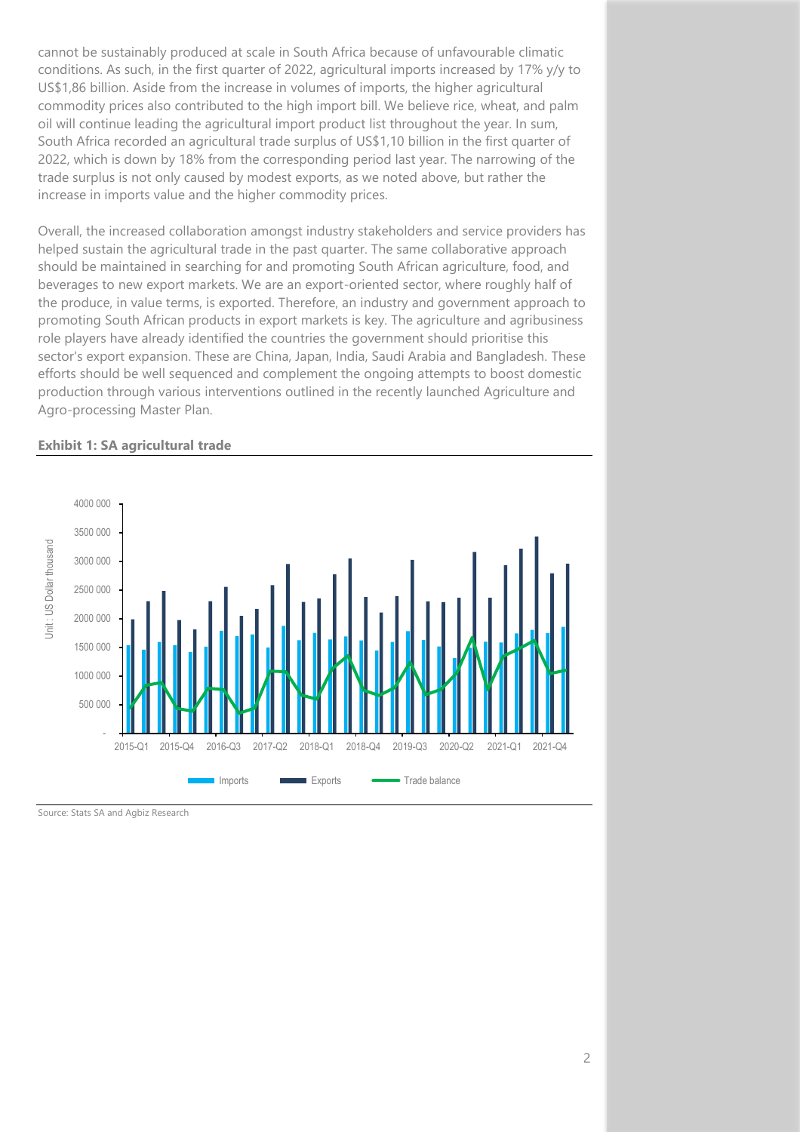cannot be sustainably produced at scale in South Africa because of unfavourable climatic conditions. As such, in the first quarter of 2022, agricultural imports increased by 17% y/y to US\$1,86 billion. Aside from the increase in volumes of imports, the higher agricultural commodity prices also contributed to the high import bill. We believe rice, wheat, and palm oil will continue leading the agricultural import product list throughout the year. In sum, South Africa recorded an agricultural trade surplus of US\$1,10 billion in the first quarter of 2022, which is down by 18% from the corresponding period last year. The narrowing of the trade surplus is not only caused by modest exports, as we noted above, but rather the increase in imports value and the higher commodity prices.

Overall, the increased collaboration amongst industry stakeholders and service providers has helped sustain the agricultural trade in the past quarter. The same collaborative approach should be maintained in searching for and promoting South African agriculture, food, and beverages to new export markets. We are an export-oriented sector, where roughly half of the produce, in value terms, is exported. Therefore, an industry and government approach to promoting South African products in export markets is key. The agriculture and agribusiness role players have already identified the countries the government should prioritise this sector's export expansion. These are China, Japan, India, Saudi Arabia and Bangladesh. These efforts should be well sequenced and complement the ongoing attempts to boost domestic production through various interventions outlined in the recently launched Agriculture and Agro-processing Master Plan.

### **Exhibit 1: SA agricultural trade**



Source: Stats SA and Agbiz Research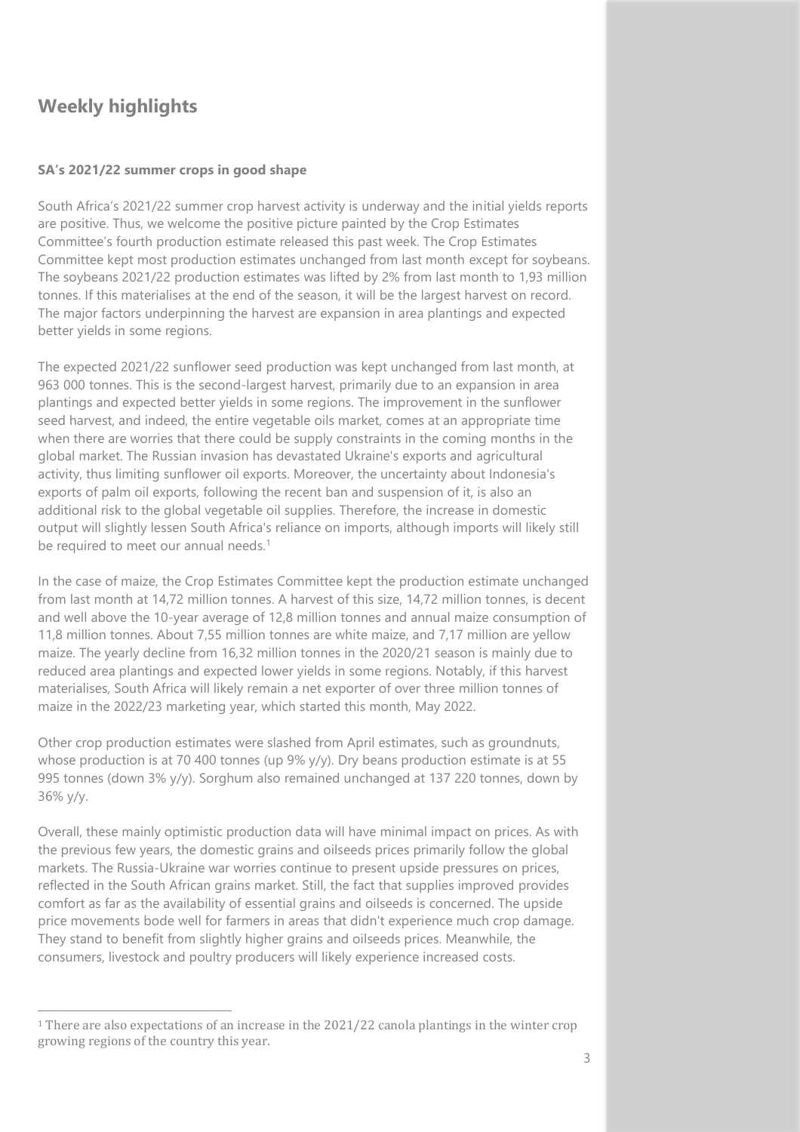## **Weekly highlights**

### **SA's 2021/22 summer crops in good shape**

South Africa's 2021/22 summer crop harvest activity is underway and the initial yields reports are positive. Thus, we welcome the positive picture painted by the Crop Estimates Committee's fourth production estimate released this past week. The Crop Estimates Committee kept most production estimates unchanged from last month except for soybeans. The soybeans 2021/22 production estimates was lifted by 2% from last month to 1,93 million tonnes. If this materialises at the end of the season, it will be the largest harvest on record. The major factors underpinning the harvest are expansion in area plantings and expected better yields in some regions.

The expected 2021/22 sunflower seed production was kept unchanged from last month, at 963 000 tonnes. This is the second-largest harvest, primarily due to an expansion in area plantings and expected better yields in some regions. The improvement in the sunflower seed harvest, and indeed, the entire vegetable oils market, comes at an appropriate time when there are worries that there could be supply constraints in the coming months in the global market. The Russian invasion has devastated Ukraine's exports and agricultural activity, thus limiting sunflower oil exports. Moreover, the uncertainty about Indonesia's exports of palm oil exports, following the recent ban and suspension of it, is also an additional risk to the global vegetable oil supplies. Therefore, the increase in domestic output will slightly lessen South Africa's reliance on imports, although imports will likely still be required to meet our annual needs.<sup>1</sup>

In the case of maize, the Crop Estimates Committee kept the production estimate unchanged from last month at 14,72 million tonnes. A harvest of this size, 14,72 million tonnes, is decent and well above the 10-year average of 12,8 million tonnes and annual maize consumption of 11,8 million tonnes. About 7,55 million tonnes are white maize, and 7,17 million are yellow maize. The yearly decline from 16,32 million tonnes in the 2020/21 season is mainly due to reduced area plantings and expected lower yields in some regions. Notably, if this harvest materialises, South Africa will likely remain a net exporter of over three million tonnes of maize in the 2022/23 marketing year, which started this month, May 2022.

Other crop production estimates were slashed from April estimates, such as groundnuts, whose production is at 70 400 tonnes (up 9% y/y). Dry beans production estimate is at 55 995 tonnes (down 3% y/y). Sorghum also remained unchanged at 137 220 tonnes, down by 36% y/y.

Overall, these mainly optimistic production data will have minimal impact on prices. As with the previous few years, the domestic grains and oilseeds prices primarily follow the global markets. The Russia-Ukraine war worries continue to present upside pressures on prices, reflected in the South African grains market. Still, the fact that supplies improved provides comfort as far as the availability of essential grains and oilseeds is concerned. The upside price movements bode well for farmers in areas that didn't experience much crop damage. They stand to benefit from slightly higher grains and oilseeds prices. Meanwhile, the consumers, livestock and poultry producers will likely experience increased costs.

<sup>1</sup> There are also expectations of an increase in the 2021/22 canola plantings in the winter crop growing regions of the country this year.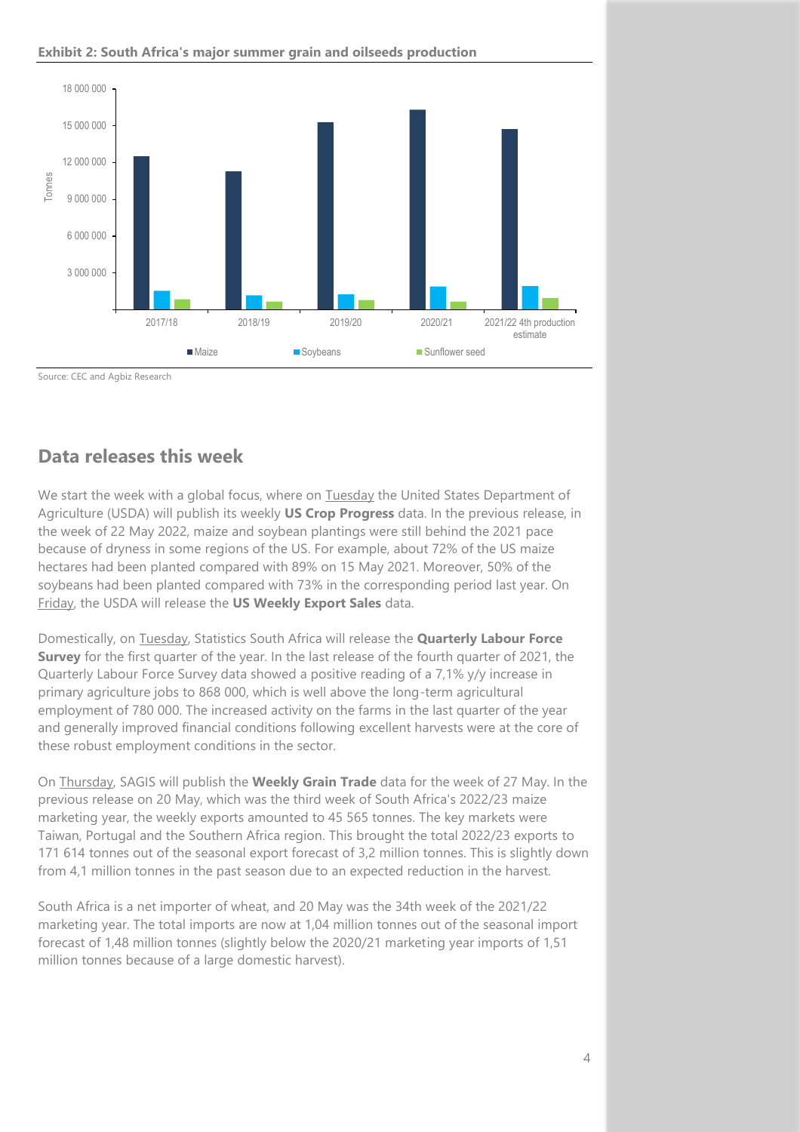

### **Exhibit 2: South Africa's major summer grain and oilseeds production**

Source: CEC and Agbiz Research

### **Data releases this week**

We start the week with a global focus, where on Tuesday the United States Department of Agriculture (USDA) will publish its weekly **US Crop Progress** data. In the previous release, in the week of 22 May 2022, maize and soybean plantings were still behind the 2021 pace because of dryness in some regions of the US. For example, about 72% of the US maize hectares had been planted compared with 89% on 15 May 2021. Moreover, 50% of the soybeans had been planted compared with 73% in the corresponding period last year. On Friday, the USDA will release the **US Weekly Export Sales** data.

Domestically, on Tuesday, Statistics South Africa will release the **Quarterly Labour Force Survey** for the first quarter of the year. In the last release of the fourth quarter of 2021, the Quarterly Labour Force Survey data showed a positive reading of a 7,1% y/y increase in primary agriculture jobs to 868 000, which is well above the long-term agricultural employment of 780 000. The increased activity on the farms in the last quarter of the year and generally improved financial conditions following excellent harvests were at the core of these robust employment conditions in the sector.

On Thursday, SAGIS will publish the **Weekly Grain Trade** data for the week of 27 May. In the previous release on 20 May, which was the third week of South Africa's 2022/23 maize marketing year, the weekly exports amounted to 45 565 tonnes. The key markets were Taiwan, Portugal and the Southern Africa region. This brought the total 2022/23 exports to 171 614 tonnes out of the seasonal export forecast of 3,2 million tonnes. This is slightly down from 4,1 million tonnes in the past season due to an expected reduction in the harvest.

South Africa is a net importer of wheat, and 20 May was the 34th week of the 2021/22 marketing year. The total imports are now at 1,04 million tonnes out of the seasonal import forecast of 1,48 million tonnes (slightly below the 2020/21 marketing year imports of 1,51 million tonnes because of a large domestic harvest).